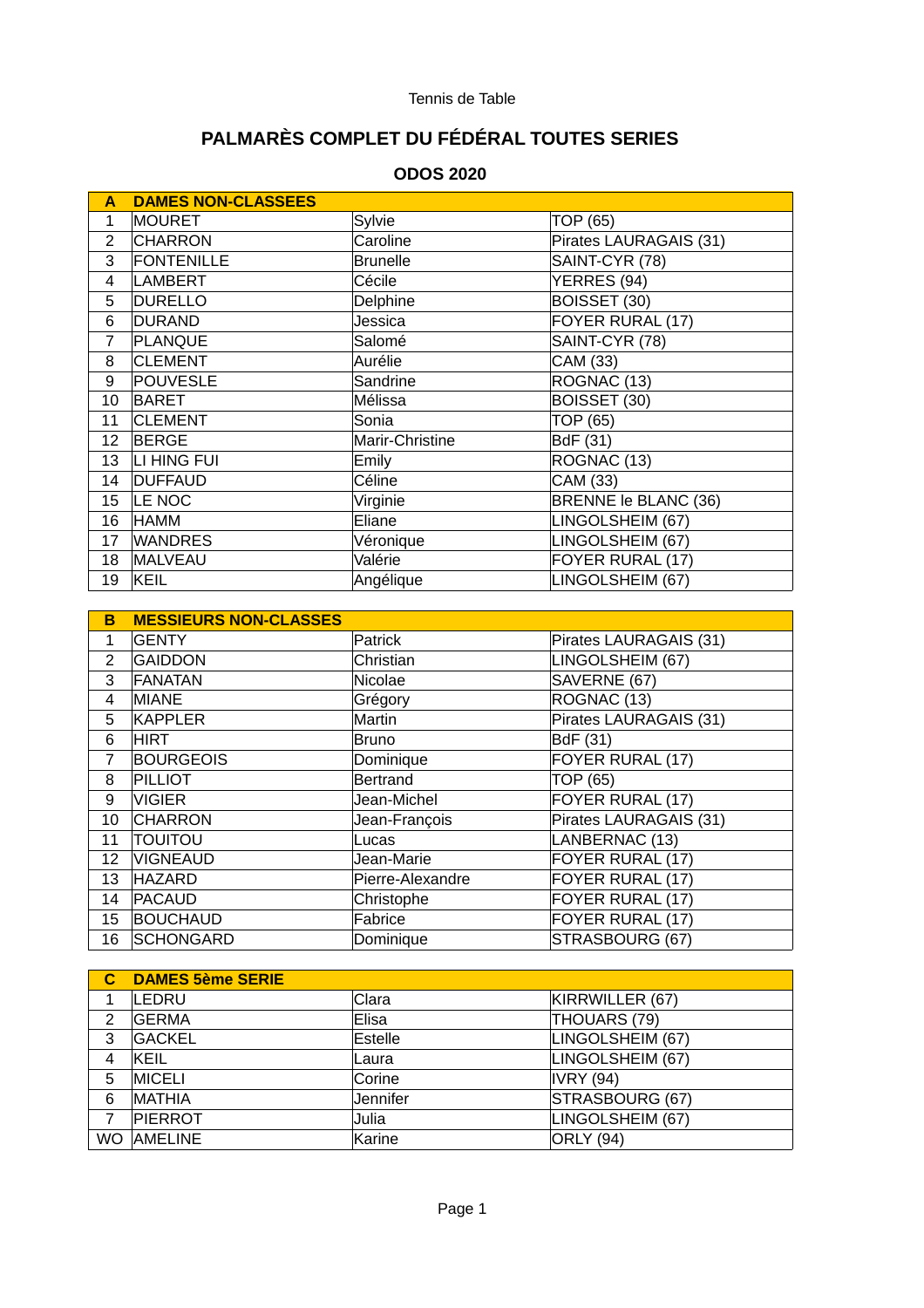# **PALMARÈS COMPLET DU FÉDÉRAL TOUTES SERIES**

## **ODOS 2020**

| A               | <b>DAMES NON-CLASSEES</b> |                 |                        |  |
|-----------------|---------------------------|-----------------|------------------------|--|
| 1               | MOURET                    | Sylvie          | TOP (65)               |  |
| $\overline{c}$  | <b>CHARRON</b>            | Caroline        | Pirates LAURAGAIS (31) |  |
| 3               | <b>FONTENILLE</b>         | <b>Brunelle</b> | SAINT-CYR (78)         |  |
| 4               | LAMBERT                   | Cécile          | YERRES (94)            |  |
| 5               | <b>DURELLO</b>            | Delphine        | BOISSET (30)           |  |
| 6               | DURAND                    | Jessica         | FOYER RURAL (17)       |  |
| $\overline{7}$  | PLANQUE                   | Salomé          | SAINT-CYR (78)         |  |
| 8               | <b>CLEMENT</b>            | Aurélie         | CAM (33)               |  |
| 9               | <b>POUVESLE</b>           | Sandrine        | ROGNAC (13)            |  |
| 10              | BARET                     | Mélissa         | BOISSET (30)           |  |
| 11              | <b>CLEMENT</b>            | Sonia           | TOP (65)               |  |
| 12              | <b>BERGE</b>              | Marir-Christine | BdF (31)               |  |
| 13              | LI HING FUI               | Emily           | ROGNAC (13)            |  |
| 14              | <b>DUFFAUD</b>            | Céline          | CAM (33)               |  |
| 15 <sup>1</sup> | LE NOC                    | Virginie        | BRENNE le BLANC (36)   |  |
| 16              | HAMM                      | Eliane          | LINGOLSHEIM (67)       |  |
| 17              | <b>WANDRES</b>            | Véronique       | LINGOLSHEIM (67)       |  |
| 18              | MALVEAU                   | Valérie         | FOYER RURAL (17)       |  |
| 19              | KEIL                      | Angélique       | LINGOLSHEIM (67)       |  |

| в  | <b>MESSIEURS NON-CLASSES</b> |                  |                        |  |
|----|------------------------------|------------------|------------------------|--|
| 1  | <b>GENTY</b>                 | Patrick          | Pirates LAURAGAIS (31) |  |
| 2  | <b>GAIDDON</b>               | Christian        | LINGOLSHEIM (67)       |  |
| 3  | FANATAN                      | Nicolae          | SAVERNE (67)           |  |
| 4  | MIANE                        | Grégory          | ROGNAC (13)            |  |
| 5  | KAPPLER                      | Martin           | Pirates LAURAGAIS (31) |  |
| 6  | <b>HIRT</b>                  | Bruno            | BdF (31)               |  |
| 7  | <b>BOURGEOIS</b>             | Dominique        | FOYER RURAL (17)       |  |
| 8  | <b>PILLIOT</b>               | Bertrand         | TOP (65)               |  |
| 9  | <b>VIGIER</b>                | Jean-Michel      | FOYER RURAL (17)       |  |
| 10 | <b>CHARRON</b>               | Jean-François    | Pirates LAURAGAIS (31) |  |
| 11 | <b>TOUITOU</b>               | Lucas            | LANBERNAC (13)         |  |
| 12 | <b>VIGNEAUD</b>              | Jean-Marie       | FOYER RURAL (17)       |  |
| 13 | <b>HAZARD</b>                | Pierre-Alexandre | FOYER RURAL (17)       |  |
| 14 | <b>PACAUD</b>                | Christophe       | FOYER RURAL (17)       |  |
| 15 | <b>BOUCHAUD</b>              | Fabrice          | FOYER RURAL (17)       |  |
| 16 | <b>SCHONGARD</b>             | Dominique        | STRASBOURG (67)        |  |

|     | <b>DAMES 5ème SERIE</b> |              |                  |
|-----|-------------------------|--------------|------------------|
|     | <b>LEDRU</b>            | Clara        | KIRRWILLER (67)  |
| 2   | <b>GERMA</b>            | Elisa        | THOUARS (79)     |
| 3   | <b>GACKEL</b>           | Estelle      | LINGOLSHEIM (67) |
| 4   | KEIL                    | <b>Laura</b> | LINGOLSHEIM (67) |
| 5   | <b>MICELI</b>           | Corine       | IVRY(94)         |
| 6   | <b>MATHIA</b>           | Jennifer     | STRASBOURG (67)  |
|     | <b>PIERROT</b>          | Julia        | LINGOLSHEIM (67) |
| WO. | <b>AMELINE</b>          | Karine       | <b>ORLY</b> (94) |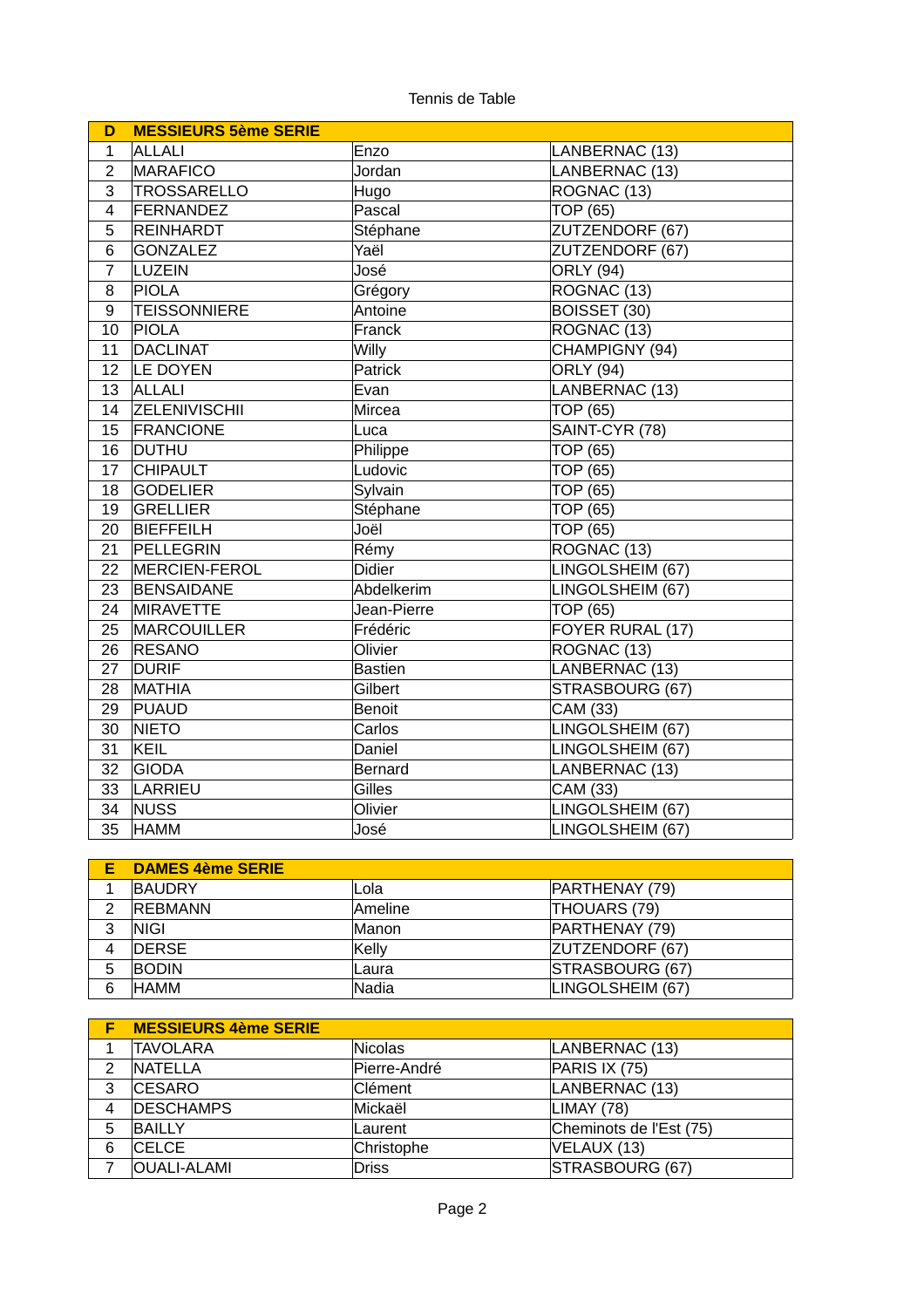| D              | <b>MESSIEURS 5ème SERIE</b> |                |                  |  |
|----------------|-----------------------------|----------------|------------------|--|
| $\mathbf{1}$   | ALLALI                      | Enzo           | LANBERNAC (13)   |  |
| $\overline{2}$ | MARAFICO                    | Jordan         | LANBERNAC (13)   |  |
| 3              | TROSSARELLO                 | Hugo           | ROGNAC (13)      |  |
| 4              | FERNANDEZ                   | Pascal         | <b>TOP (65)</b>  |  |
| 5              | <b>REINHARDT</b>            | Stéphane       | ZUTZENDORF (67)  |  |
| 6              | <b>GONZALEZ</b>             | Yaël           | ZUTZENDORF (67)  |  |
| $\overline{7}$ | LUZEIN                      | José           | <b>ORLY</b> (94) |  |
| 8              | PIOLA                       | Grégory        | ROGNAC (13)      |  |
| 9              | <b>TEISSONNIERE</b>         | Antoine        | BOISSET (30)     |  |
| 10             | PIOLA                       | Franck         | ROGNAC (13)      |  |
| 11             | DACLINAT                    | Willy          | CHAMPIGNY (94)   |  |
| 12             | LE DOYEN                    | Patrick        | <b>ORLY (94)</b> |  |
| 13             | <b>ALLALI</b>               | Evan           | LANBERNAC (13)   |  |
| 14             | <b>ZELENIVISCHII</b>        | Mircea         | TOP (65)         |  |
| 15             | <b>FRANCIONE</b>            | Luca           | SAINT-CYR (78)   |  |
| 16             | <b>DUTHU</b>                | Philippe       | TOP (65)         |  |
| 17             | <b>CHIPAULT</b>             | Ludovic        | TOP (65)         |  |
| 18             | <b>GODELIER</b>             | Sylvain        | <b>TOP (65)</b>  |  |
| 19             | GRELLIER                    | Stéphane       | <b>TOP (65)</b>  |  |
| 20             | BIEFFEILH                   | Joël           | <b>TOP (65)</b>  |  |
| 21             | PELLEGRIN                   | Rémy           | ROGNAC (13)      |  |
| 22             | MERCIEN-FEROL               | <b>Didier</b>  | LINGOLSHEIM (67) |  |
| 23             | BENSAIDANE                  | Abdelkerim     | LINGOLSHEIM (67) |  |
| 24             | <b>MIRAVETTE</b>            | Jean-Pierre    | <b>TOP (65)</b>  |  |
| 25             | <b>MARCOUILLER</b>          | Frédéric       | FOYER RURAL (17) |  |
| 26             | <b>RESANO</b>               | Olivier        | ROGNAC (13)      |  |
| 27             | <b>DURIF</b>                | <b>Bastien</b> | LANBERNAC (13)   |  |
| 28             | <b>MATHIA</b>               | Gilbert        | STRASBOURG (67)  |  |
| 29             | PUAUD                       | <b>Benoit</b>  | CAM (33)         |  |
| 30             | <b>NIETO</b>                | Carlos         | LINGOLSHEIM (67) |  |
| 31             | KEIL                        | Daniel         | LINGOLSHEIM (67) |  |
| 32             | GIODA                       | <b>Bernard</b> | LANBERNAC (13)   |  |
| 33             | LARRIEU                     | Gilles         | CAM (33)         |  |
| 34             | NUSS                        | Olivier        | LINGOLSHEIM (67) |  |
| 35             | <b>HAMM</b>                 | José           | LINGOLSHEIM (67) |  |

|   | <b>DAMES 4ème SERIE</b> |               |                  |
|---|-------------------------|---------------|------------------|
|   | <b>BAUDRY</b>           | ⊩Lola         | PARTHENAY (79)   |
| າ | <b>REBMANN</b>          | Ameline       | THOUARS (79)     |
| 3 | <b>NIGI</b>             | Manon         | PARTHENAY (79)   |
| 4 | <b>IDERSE</b>           | Kelly         | ZUTZENDORF (67)  |
| 5 | <b>BODIN</b>            | <b>L</b> aura | STRASBOURG (67)  |
| 6 | <b>HAMM</b>             | Nadia         | LINGOLSHEIM (67) |

|   | <b>MESSIEURS 4ème SERIE</b> |              |                         |
|---|-----------------------------|--------------|-------------------------|
|   | <b>TAVOLARA</b>             | Nicolas      | LANBERNAC (13)          |
| 2 | <b>NATELLA</b>              | Pierre-André | PARIS IX (75)           |
| 3 | <b>CESARO</b>               | Clément      | LANBERNAC (13)          |
| 4 | <b>DESCHAMPS</b>            | Mickaël      | LIMAY (78)              |
| 5 | <b>BAILLY</b>               | Laurent      | Cheminots de l'Est (75) |
| 6 | <b>CELCE</b>                | Christophe   | VELAUX (13)             |
|   | <b>OUALI-ALAMI</b>          | <b>Driss</b> | STRASBOURG (67)         |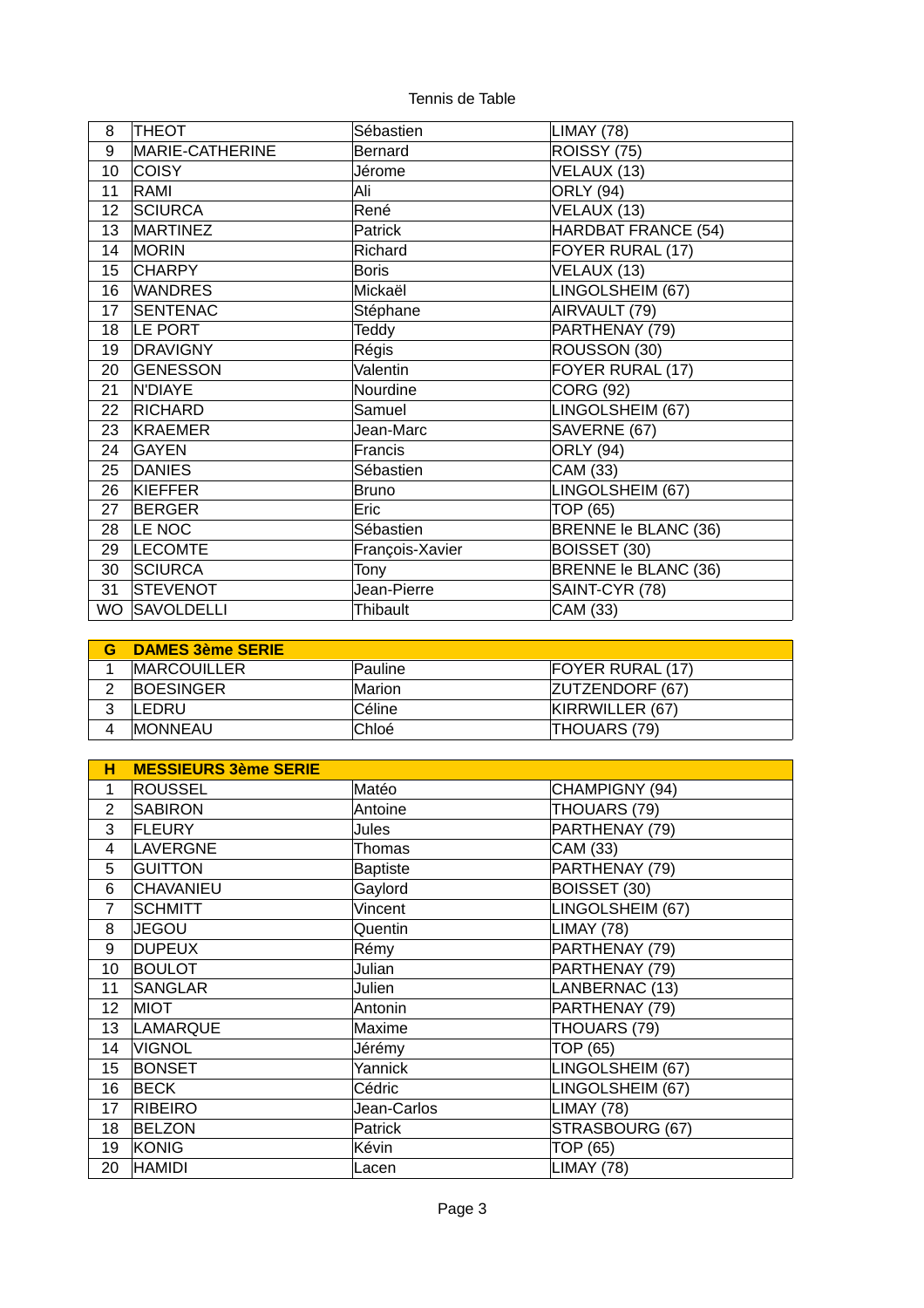| 8  | <b>THEOT</b>    | Sébastien       | LIMAY (78)           |
|----|-----------------|-----------------|----------------------|
| 9  | MARIE-CATHERINE | <b>Bernard</b>  | ROISSY (75)          |
| 10 | <b>COISY</b>    | Jérome          | VELAUX (13)          |
| 11 | RAMI            | Ali             | <b>ORLY (94)</b>     |
| 12 | <b>SCIURCA</b>  | René            | VELAUX (13)          |
| 13 | MARTINEZ        | Patrick         | HARDBAT FRANCE (54)  |
| 14 | <b>MORIN</b>    | Richard         | FOYER RURAL (17)     |
| 15 | <b>CHARPY</b>   | <b>Boris</b>    | VELAUX (13)          |
| 16 | <b>WANDRES</b>  | Mickaël         | LINGOLSHEIM (67)     |
| 17 | SENTENAC        | Stéphane        | AIRVAULT (79)        |
| 18 | LE PORT         | Teddy           | PARTHENAY (79)       |
| 19 | <b>DRAVIGNY</b> | Régis           | ROUSSON (30)         |
| 20 | GENESSON        | Valentin        | FOYER RURAL (17)     |
| 21 | N'DIAYE         | Nourdine        | <b>CORG (92)</b>     |
| 22 | <b>RICHARD</b>  | Samuel          | LINGOLSHEIM (67)     |
| 23 | KRAEMER         | Jean-Marc       | SAVERNE (67)         |
| 24 | <b>GAYEN</b>    | Francis         | <b>ORLY (94)</b>     |
| 25 | <b>DANIES</b>   | Sébastien       | CAM (33)             |
| 26 | KIEFFER         | <b>Bruno</b>    | LINGOLSHEIM (67)     |
| 27 | <b>BERGER</b>   | Eric            | TOP (65)             |
| 28 | LE NOC          | Sébastien       | BRENNE le BLANC (36) |
| 29 | <b>LECOMTE</b>  | François-Xavier | BOISSET (30)         |
| 30 | <b>SCIURCA</b>  | Tony            | BRENNE le BLANC (36) |
| 31 | <b>STEVENOT</b> | Jean-Pierre     | SAINT-CYR (78)       |
|    | WO SAVOLDELLI   | Thibault        | CAM (33)             |

|   | <b>DAMES 3ème SERIE</b> |                |                         |
|---|-------------------------|----------------|-------------------------|
|   | <b>IMARCOUILLER</b>     | <b>Pauline</b> | <b>FOYER RURAL (17)</b> |
|   | <b>IBOESINGER</b>       | <b>Marion</b>  | <b>ZUTZENDORF (67)</b>  |
|   | <b>ILEDRU</b>           | <b>Céline</b>  | KIRRWILLER (67)         |
| 4 | <b>IMONNEAU</b>         | <b>Chloé</b>   | <b>THOUARS (79)</b>     |

| н              | <b>MESSIEURS 3ème SERIE</b> |                 |                  |  |
|----------------|-----------------------------|-----------------|------------------|--|
| $\mathbf{1}$   | <b>ROUSSEL</b>              | Matéo           | CHAMPIGNY (94)   |  |
| $\overline{2}$ | <b>SABIRON</b>              | Antoine         | THOUARS (79)     |  |
| 3              | FLEURY                      | <b>Jules</b>    | PARTHENAY (79)   |  |
| 4              | LAVERGNE                    | Thomas          | CAM (33)         |  |
| 5              | <b>GUITTON</b>              | <b>Baptiste</b> | PARTHENAY (79)   |  |
| 6              | <b>CHAVANIEU</b>            | Gaylord         | BOISSET (30)     |  |
| $\overline{7}$ | <b>SCHMITT</b>              | Vincent         | LINGOLSHEIM (67) |  |
| 8              | JEGOU                       | Quentin         | LIMAY (78)       |  |
| 9              | <b>DUPEUX</b>               | Rémy            | PARTHENAY (79)   |  |
| 10             | <b>BOULOT</b>               | Julian          | PARTHENAY (79)   |  |
| 11             | SANGLAR                     | Julien          | LANBERNAC (13)   |  |
| 12             | <b>MIOT</b>                 | Antonin         | PARTHENAY (79)   |  |
| 13             | <b>LAMARQUE</b>             | Maxime          | THOUARS (79)     |  |
| 14             | <b>VIGNOL</b>               | Jérémy          | TOP (65)         |  |
| 15             | <b>BONSET</b>               | Yannick         | LINGOLSHEIM (67) |  |
| 16             | <b>BECK</b>                 | Cédric          | LINGOLSHEIM (67) |  |
| 17             | <b>RIBEIRO</b>              | Jean-Carlos     | LIMAY (78)       |  |
| 18             | <b>BELZON</b>               | Patrick         | STRASBOURG (67)  |  |
| 19             | KONIG                       | Kévin           | TOP (65)         |  |
| 20             | <b>HAMIDI</b>               | Lacen           | LIMAY (78)       |  |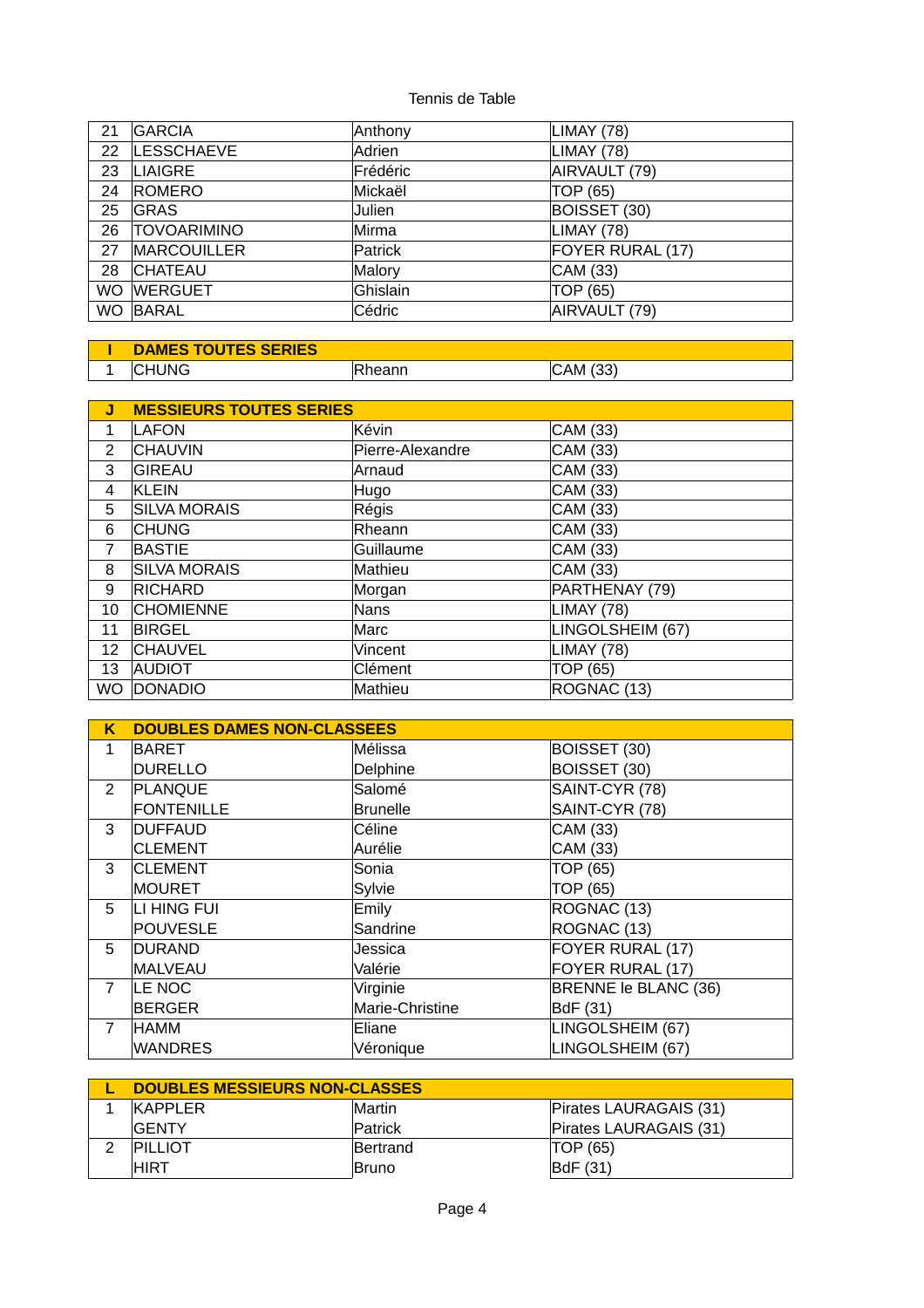| 21        | <b>GARCIA</b>      | Anthony  | LIMAY (78)       |
|-----------|--------------------|----------|------------------|
| 22        | <b>LESSCHAEVE</b>  | Adrien   | LIMAY (78)       |
| 23        | LIAIGRE            | Frédéric | AIRVAULT (79)    |
| 24        | <b>ROMERO</b>      | Mickaël  | TOP (65)         |
| 25        | <b>GRAS</b>        | Julien   | BOISSET (30)     |
| 26        | <b>TOVOARIMINO</b> | Mirma    | LIMAY (78)       |
| 27        | <b>MARCOUILLER</b> | Patrick  | FOYER RURAL (17) |
| 28        | <b>CHATEAU</b>     | Malory   | CAM (33)         |
| <b>WO</b> | <b>WERGUET</b>     | Ghislain | TOP (65)         |
| <b>WO</b> | BARAL              | Cédric   | AIRVAULT (79)    |

| <b>DAMES TOUTES SERIES</b> |                |          |
|----------------------------|----------------|----------|
| <b>CHUNG</b>               | <b>IRheann</b> | CAM (33) |

| J         | <b>MESSIEURS TOUTES SERIES</b> |                  |                   |  |
|-----------|--------------------------------|------------------|-------------------|--|
| 1         | LAFON                          | Kévin            | CAM (33)          |  |
| 2         | <b>CHAUVIN</b>                 | Pierre-Alexandre | CAM (33)          |  |
| 3         | <b>GIREAU</b>                  | Arnaud           | CAM (33)          |  |
| 4         | KLEIN                          | Hugo             | CAM (33)          |  |
| 5         | <b>SILVA MORAIS</b>            | Régis            | CAM (33)          |  |
| 6         | <b>CHUNG</b>                   | Rheann           | CAM (33)          |  |
| 7         | <b>BASTIE</b>                  | Guillaume        | CAM (33)          |  |
| 8         | <b>SILVA MORAIS</b>            | Mathieu          | CAM (33)          |  |
| 9         | <b>RICHARD</b>                 | Morgan           | PARTHENAY (79)    |  |
| 10        | <b>CHOMIENNE</b>               | Nans             | LIMAY (78)        |  |
| 11        | <b>BIRGEL</b>                  | Marc             | LINGOLSHEIM (67)  |  |
| 12        | <b>CHAUVEL</b>                 | Vincent          | <b>LIMAY (78)</b> |  |
| 13        | <b>AUDIOT</b>                  | Clément          | TOP (65)          |  |
| <b>WO</b> | DONADIO                        | Mathieu          | ROGNAC (13)       |  |

| Κ              | <b>DOUBLES DAMES NON-CLASSEES</b> |                 |                      |  |
|----------------|-----------------------------------|-----------------|----------------------|--|
| $\mathbf{1}$   | BARET                             | Mélissa         | BOISSET (30)         |  |
|                | <b>DURELLO</b>                    | Delphine        | BOISSET (30)         |  |
| 2              | PLANQUE                           | Salomé          | SAINT-CYR (78)       |  |
|                | <b>FONTENILLE</b>                 | <b>Brunelle</b> | SAINT-CYR (78)       |  |
| 3              | <b>DUFFAUD</b>                    | Céline          | CAM (33)             |  |
|                | <b>CLEMENT</b>                    | Aurélie         | CAM (33)             |  |
| 3              | <b>CLEMENT</b>                    | Sonia           | TOP (65)             |  |
|                | MOURET                            | Sylvie          | TOP (65)             |  |
| 5              | LI HING FUI                       | Emily           | ROGNAC (13)          |  |
|                | POUVESLE                          | Sandrine        | ROGNAC (13)          |  |
| 5              | DURAND                            | Jessica         | FOYER RURAL (17)     |  |
|                | <b>MALVEAU</b>                    | Valérie         | FOYER RURAL (17)     |  |
| $\overline{7}$ | LE NOC                            | Virginie        | BRENNE le BLANC (36) |  |
|                | <b>BERGER</b>                     | Marie-Christine | BdF (31)             |  |
| $\overline{7}$ | HAMM                              | Eliane          | LINGOLSHEIM (67)     |  |
|                | WANDRES                           | Véronique       | LINGOLSHEIM (67)     |  |

| DOUBLES MESSIEURS NON-CLASSES |                 |                        |
|-------------------------------|-----------------|------------------------|
| KAPPLER                       | <b>Martin</b>   | Pirates LAURAGAIS (31) |
| <b>IGENTY</b>                 | Patrick         | Pirates LAURAGAIS (31) |
| PILLIOT                       | <b>Bertrand</b> | TOP (65)               |
| IHIRT                         | <b>IBruno</b>   | BdF(31)                |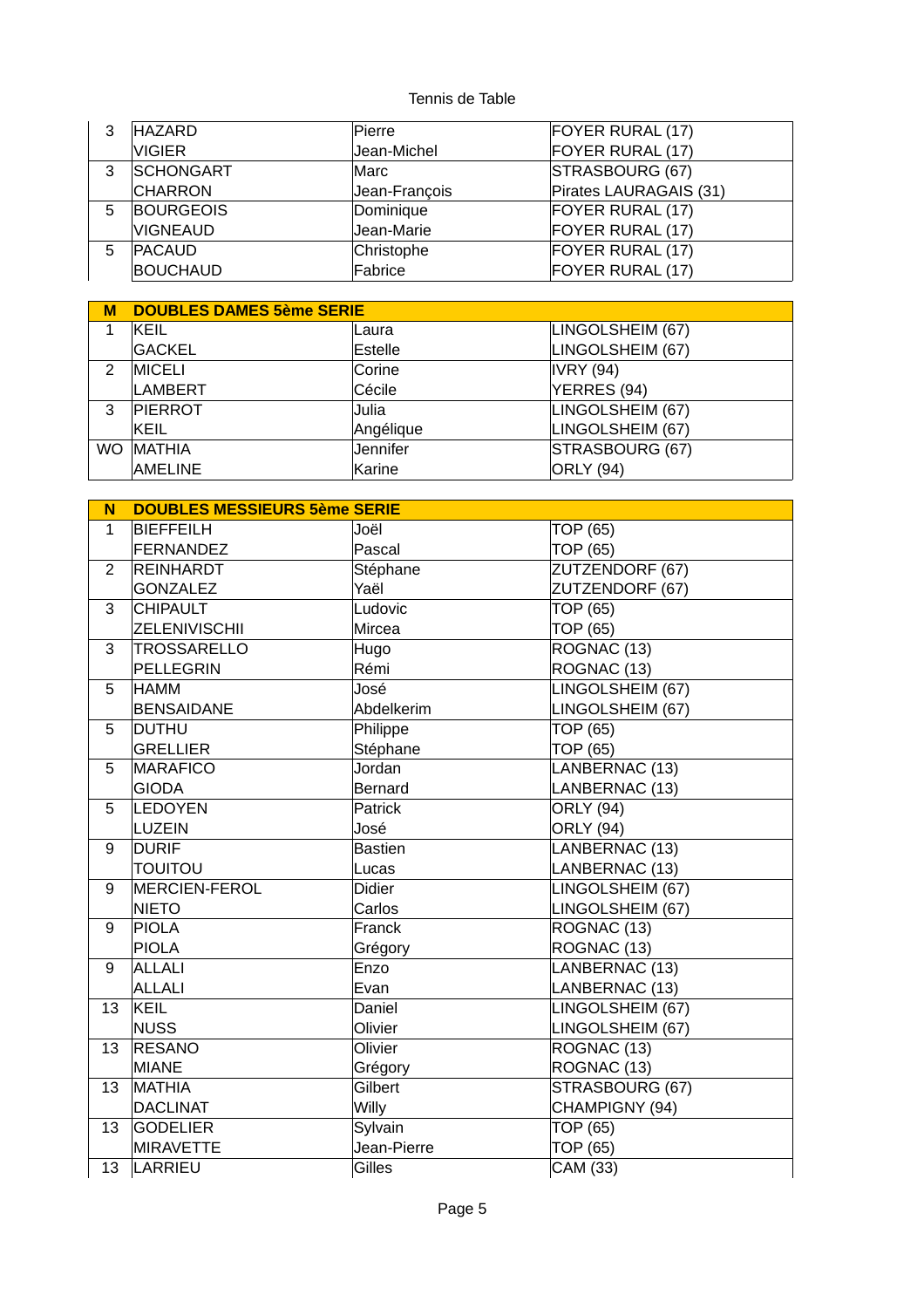| 3 | <b>HAZARD</b>    | Pierre        | FOYER RURAL (17)       |
|---|------------------|---------------|------------------------|
|   | VIGIER.          | Jean-Michel   | FOYER RURAL (17)       |
| 3 | <b>SCHONGART</b> | Marc          | STRASBOURG (67)        |
|   | <b>CHARRON</b>   | Jean-François | Pirates LAURAGAIS (31) |
| 5 | <b>BOURGEOIS</b> | Dominique     | FOYER RURAL (17)       |
|   | VIGNEAUD         | Jean-Marie    | FOYER RURAL (17)       |
| 5 | <b>PACAUD</b>    | Christophe    | FOYER RURAL (17)       |
|   | <b>BOUCHAUD</b>  | Fabrice       | FOYER RURAL (17)       |

| М         | <b>DOUBLES DAMES 5ème SERIE</b> |           |                  |
|-----------|---------------------------------|-----------|------------------|
|           | IKEIL                           | ∣Laura    | LINGOLSHEIM (67) |
|           | <b>GACKEL</b>                   | Estelle   | LINGOLSHEIM (67) |
| 2         | <b>IMICELI</b>                  | Corine    | IVRY (94)        |
|           | LAMBERT                         | Cécile    | YERRES (94)      |
| 3         | <b>PIERROT</b>                  | Julia     | LINGOLSHEIM (67) |
|           | IKEIL                           | Angélique | LINGOLSHEIM (67) |
| <b>WO</b> | <b>MATHIA</b>                   | Jennifer  | STRASBOURG (67)  |
|           | <b>AMELINE</b>                  | Karine    | ORLY (94)        |

| N              | <b>DOUBLES MESSIEURS 5ème SERIE</b> |               |                  |
|----------------|-------------------------------------|---------------|------------------|
| $\mathbf{1}$   | <b>BIEFFEILH</b>                    | Joël          | <b>TOP (65)</b>  |
|                | FERNANDEZ                           | Pascal        | <b>TOP (65)</b>  |
| $\overline{2}$ | REINHARDT                           | Stéphane      | ZUTZENDORF (67)  |
|                | <b>GONZALEZ</b>                     | Yaël          | ZUTZENDORF (67)  |
| 3              | <b>CHIPAULT</b>                     | Ludovic       | TOP (65)         |
|                | <b>ZELENIVISCHII</b>                | Mircea        | <b>TOP (65)</b>  |
| 3              | <b>TROSSARELLO</b>                  | Hugo          | ROGNAC (13)      |
|                | PELLEGRIN                           | Rémi          | ROGNAC (13)      |
| 5              | <b>HAMM</b>                         | José          | LINGOLSHEIM (67) |
|                | <b>BENSAIDANE</b>                   | Abdelkerim    | LINGOLSHEIM (67) |
| 5              | <b>DUTHU</b>                        | Philippe      | TOP (65)         |
|                | <b>GRELLIER</b>                     | Stéphane      | TOP (65)         |
| 5              | <b>MARAFICO</b>                     | Jordan        | LANBERNAC (13)   |
|                | <b>GIODA</b>                        | Bernard       | LANBERNAC (13)   |
| 5              | LEDOYEN                             | Patrick       | <b>ORLY (94)</b> |
|                | LUZEIN                              | José          | <b>ORLY (94)</b> |
| 9              | <b>DURIF</b>                        | Bastien       | LANBERNAC (13)   |
|                | <b>TOUITOU</b>                      | Lucas         | LANBERNAC (13)   |
| 9              | <b>MERCIEN-FEROL</b>                | <b>Didier</b> | LINGOLSHEIM (67) |
|                | <b>NIETO</b>                        | Carlos        | LINGOLSHEIM (67) |
| 9              | <b>PIOLA</b>                        | Franck        | ROGNAC (13)      |
|                | <b>PIOLA</b>                        | Grégory       | ROGNAC (13)      |
| 9              | ALLALI                              | Enzo          | LANBERNAC (13)   |
|                | ALLALI                              | Evan          | LANBERNAC (13)   |
| 13             | KEIL                                | Daniel        | LINGOLSHEIM (67) |
|                | <b>NUSS</b>                         | Olivier       | LINGOLSHEIM (67) |
| 13             | <b>RESANO</b>                       | Olivier       | ROGNAC (13)      |
|                | <b>MIANE</b>                        | Grégory       | ROGNAC (13)      |
| 13             | MATHIA                              | Gilbert       | STRASBOURG (67)  |
|                | <b>DACLINAT</b>                     | Willy         | CHAMPIGNY (94)   |
| 13             | <b>GODELIER</b>                     | Sylvain       | TOP (65)         |
|                | <b>MIRAVETTE</b>                    | Jean-Pierre   | <b>TOP (65)</b>  |
| 13             | LARRIEU                             | Gilles        | CAM (33)         |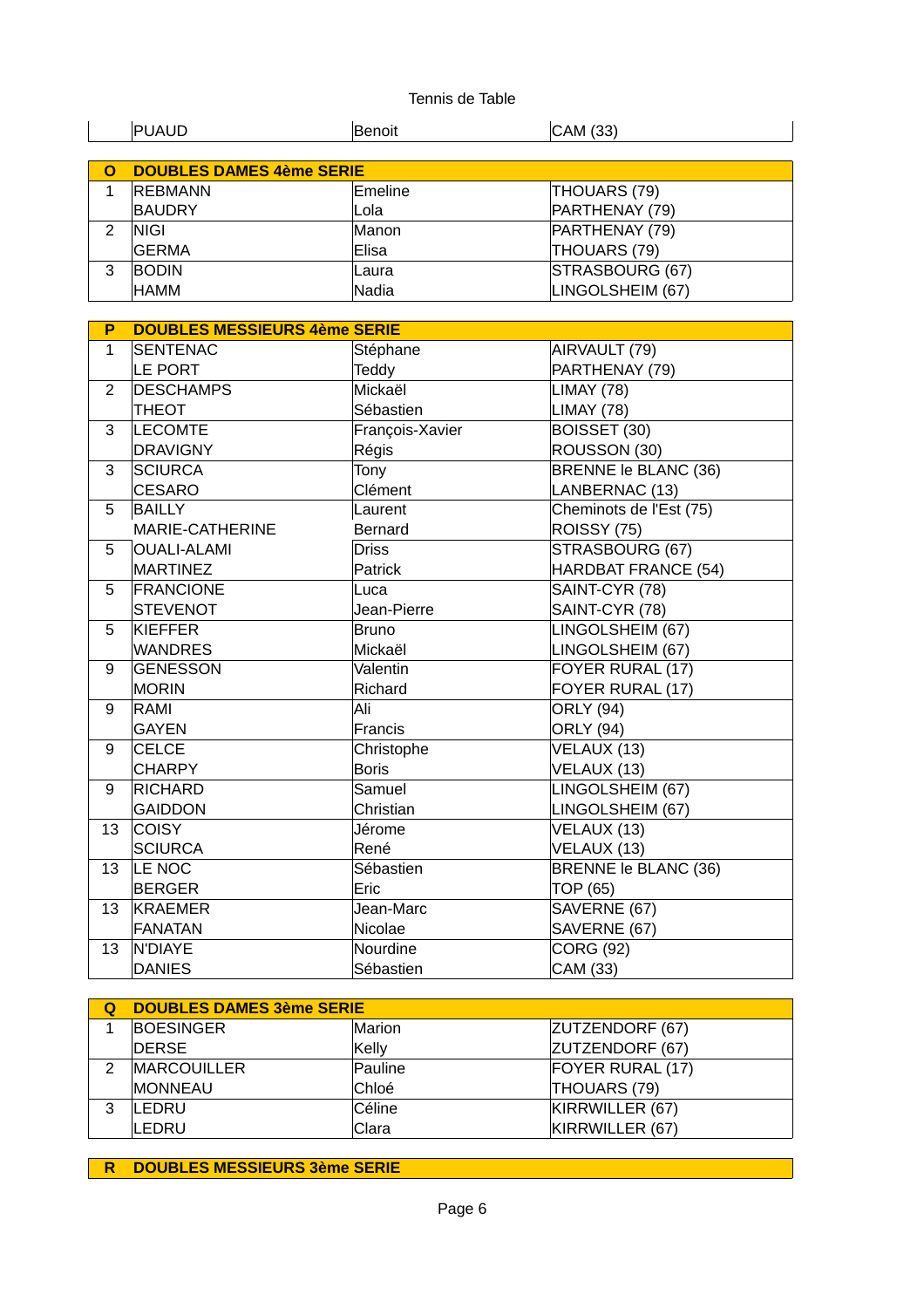|   | <b>PUAUD</b>                    | Benoit  | CAM (33)         |
|---|---------------------------------|---------|------------------|
|   |                                 |         |                  |
| O | <b>DOUBLES DAMES 4ème SERIE</b> |         |                  |
|   | <b>REBMANN</b>                  | Emeline | THOUARS (79)     |
|   | <b>BAUDRY</b>                   | Lola    | PARTHENAY (79)   |
|   | <b>NIGI</b>                     | Manon   | PARTHENAY (79)   |
|   | <b>GERMA</b>                    | Elisa   | THOUARS (79)     |
| 3 | <b>BODIN</b>                    | Laura   | STRASBOURG (67)  |
|   | <b>HAMM</b>                     | Nadia   | LINGOLSHEIM (67) |

| P              | <b>DOUBLES MESSIEURS 4ème SERIE</b> |                 |                         |
|----------------|-------------------------------------|-----------------|-------------------------|
| $\mathbf{1}$   | <b>SENTENAC</b>                     | Stéphane        | AIRVAULT (79)           |
|                | LE PORT                             | Teddy           | PARTHENAY (79)          |
| $\overline{2}$ | <b>DESCHAMPS</b>                    | Mickaël         | <b>LIMAY (78)</b>       |
|                | <b>THEOT</b>                        | Sébastien       | <b>LIMAY (78)</b>       |
| 3              | <b>LECOMTE</b>                      | François-Xavier | BOISSET (30)            |
|                | <b>DRAVIGNY</b>                     | Régis           | ROUSSON (30)            |
| 3              | <b>SCIURCA</b>                      | Tony            | BRENNE le BLANC (36)    |
|                | <b>CESARO</b>                       | Clément         | LANBERNAC (13)          |
| 5              | <b>BAILLY</b>                       | Laurent         | Cheminots de l'Est (75) |
|                | MARIE-CATHERINE                     | <b>Bernard</b>  | ROISSY (75)             |
| 5              | <b>OUALI-ALAMI</b>                  | <b>Driss</b>    | STRASBOURG (67)         |
|                | <b>MARTINEZ</b>                     | Patrick         | HARDBAT FRANCE (54)     |
| 5              | <b>FRANCIONE</b>                    | Luca            | SAINT-CYR (78)          |
|                | <b>STEVENOT</b>                     | Jean-Pierre     | SAINT-CYR (78)          |
| 5              | <b>KIEFFER</b>                      | <b>Bruno</b>    | LINGOLSHEIM (67)        |
|                | <b>WANDRES</b>                      | Mickaël         | LINGOLSHEIM (67)        |
| 9              | <b>GENESSON</b>                     | Valentin        | FOYER RURAL (17)        |
|                | <b>MORIN</b>                        | Richard         | FOYER RURAL (17)        |
| 9              | RAMI                                | Ali             | <b>ORLY</b> (94)        |
|                | <b>GAYEN</b>                        | Francis         | <b>ORLY (94)</b>        |
| 9              | <b>CELCE</b>                        | Christophe      | VELAUX (13)             |
|                | <b>CHARPY</b>                       | <b>Boris</b>    | VELAUX (13)             |
| 9              | <b>RICHARD</b>                      | Samuel          | LINGOLSHEIM (67)        |
|                | <b>GAIDDON</b>                      | Christian       | LINGOLSHEIM (67)        |
| 13             | <b>COISY</b>                        | Jérome          | VELAUX (13)             |
|                | <b>SCIURCA</b>                      | René            | VELAUX (13)             |
| 13             | LE NOC                              | Sébastien       | BRENNE le BLANC (36)    |
|                | <b>BERGER</b>                       | Eric            | TOP (65)                |
| 13             | KRAEMER                             | Jean-Marc       | SAVERNE (67)            |
|                | <b>FANATAN</b>                      | Nicolae         | SAVERNE (67)            |
| 13             | N'DIAYE                             | Nourdine        | <b>CORG (92)</b>        |
|                | <b>DANIES</b>                       | Sébastien       | CAM (33)                |

| <b>DOUBLES DAMES 3ème SERIE</b> |         |                  |
|---------------------------------|---------|------------------|
| <b>BOESINGER</b>                | Marion  | ZUTZENDORF (67)  |
| <b>DERSE</b>                    | Kelly   | ZUTZENDORF (67)  |
| <b>MARCOUILLER</b>              | Pauline | FOYER RURAL (17) |
| <b>IMONNEAU</b>                 | Chloé   | THOUARS (79)     |
| <b>LEDRU</b>                    | Céline  | KIRRWILLER (67)  |
| <b>LEDRU</b>                    | Clara   | KIRRWILLER (67)  |

**R DOUBLES MESSIEURS 3ème SERIE**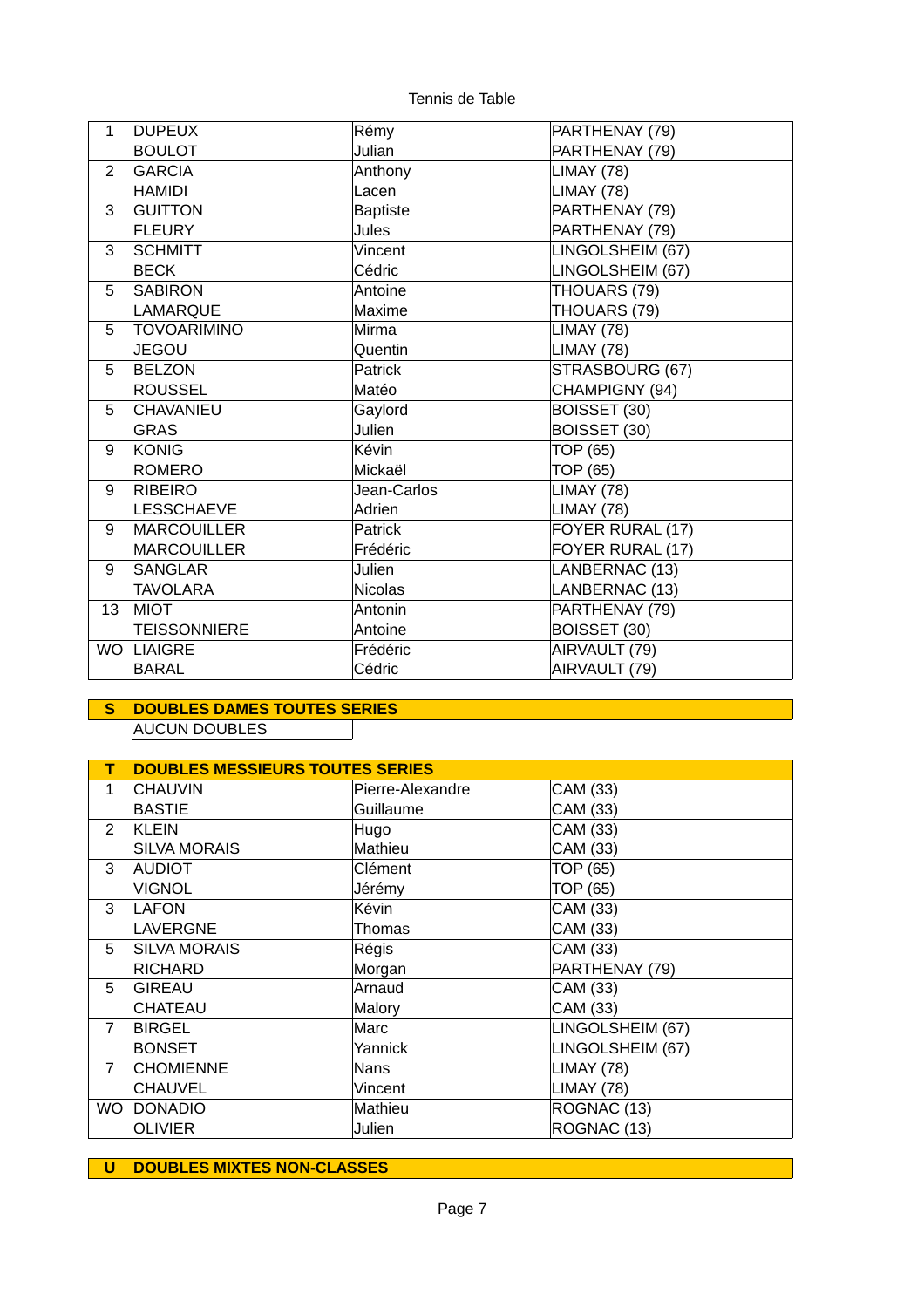| $\mathbf{1}$   | <b>DUPEUX</b>       | Rémy            | PARTHENAY (79)    |
|----------------|---------------------|-----------------|-------------------|
|                | <b>BOULOT</b>       | Julian          | PARTHENAY (79)    |
| $\overline{2}$ | <b>GARCIA</b>       | Anthony         | <b>LIMAY (78)</b> |
|                | <b>HAMIDI</b>       | Lacen           | LIMAY (78)        |
| 3              | <b>GUITTON</b>      | <b>Baptiste</b> | PARTHENAY (79)    |
|                | <b>FLEURY</b>       | <b>Jules</b>    | PARTHENAY (79)    |
| 3              | <b>SCHMITT</b>      | Vincent         | LINGOLSHEIM (67)  |
|                | <b>BECK</b>         | Cédric          | LINGOLSHEIM (67)  |
| 5              | <b>SABIRON</b>      | Antoine         | THOUARS (79)      |
|                | LAMARQUE            | Maxime          | THOUARS (79)      |
| 5              | <b>TOVOARIMINO</b>  | Mirma           | <b>LIMAY (78)</b> |
|                | <b>JEGOU</b>        | Quentin         | LIMAY (78)        |
| 5              | <b>BELZON</b>       | Patrick         | STRASBOURG (67)   |
|                | <b>ROUSSEL</b>      | Matéo           | CHAMPIGNY (94)    |
| 5              | <b>CHAVANIEU</b>    | Gaylord         | BOISSET (30)      |
|                | <b>GRAS</b>         | Julien          | BOISSET (30)      |
| 9              | KONIG               | Kévin           | TOP (65)          |
|                | <b>ROMERO</b>       | Mickaël         | TOP (65)          |
| 9              | <b>RIBEIRO</b>      | Jean-Carlos     | LIMAY (78)        |
|                | <b>LESSCHAEVE</b>   | Adrien          | LIMAY (78)        |
| 9              | <b>MARCOUILLER</b>  | Patrick         | FOYER RURAL (17)  |
|                | <b>MARCOUILLER</b>  | <b>Frédéric</b> | FOYER RURAL (17)  |
| 9              | <b>SANGLAR</b>      | <b>Julien</b>   | LANBERNAC (13)    |
|                | <b>TAVOLARA</b>     | Nicolas         | LANBERNAC (13)    |
| 13             | <b>MIOT</b>         | Antonin         | PARTHENAY (79)    |
|                | <b>TEISSONNIERE</b> | Antoine         | BOISSET (30)      |
| <b>WO</b>      | <b>LIAIGRE</b>      | Frédéric        | AIRVAULT (79)     |
|                | <b>BARAL</b>        | Cédric          | AIRVAULT (79)     |

# **S DOUBLES DAMES TOUTES SERIES** AUCUN DOUBLES

| т              | <b>DOUBLES MESSIEURS TOUTES SERIES</b> |                  |                  |  |
|----------------|----------------------------------------|------------------|------------------|--|
| $\mathbf{1}$   | <b>CHAUVIN</b>                         | Pierre-Alexandre | CAM (33)         |  |
|                | <b>BASTIE</b>                          | Guillaume        | CAM (33)         |  |
| $\overline{2}$ | KLEIN                                  | Hugo             | CAM (33)         |  |
|                | <b>SILVA MORAIS</b>                    | Mathieu          | CAM (33)         |  |
| 3              | AUDIOT                                 | Clément          | TOP (65)         |  |
|                | <b>VIGNOL</b>                          | Jérémy           | TOP (65)         |  |
| 3              | <b>LAFON</b>                           | Kévin            | CAM (33)         |  |
|                | LAVERGNE                               | Thomas           | CAM (33)         |  |
| 5              | <b>SILVA MORAIS</b>                    | Régis            | CAM (33)         |  |
|                | <b>RICHARD</b>                         | Morgan           | PARTHENAY (79)   |  |
| 5              | GIREAU                                 | Arnaud           | CAM (33)         |  |
|                | <b>CHATEAU</b>                         | Malory           | CAM (33)         |  |
| $\overline{7}$ | <b>BIRGEL</b>                          | Marc             | LINGOLSHEIM (67) |  |
|                | <b>BONSET</b>                          | Yannick          | LINGOLSHEIM (67) |  |
| $\overline{7}$ | <b>CHOMIENNE</b>                       | <b>Nans</b>      | LIMAY (78)       |  |
|                | <b>CHAUVEL</b>                         | Vincent          | LIMAY (78)       |  |
| <b>WO</b>      | <b>DONADIO</b>                         | Mathieu          | ROGNAC (13)      |  |
|                | <b>OLIVIER</b>                         | Julien           | ROGNAC (13)      |  |

**U DOUBLES MIXTES NON-CLASSES**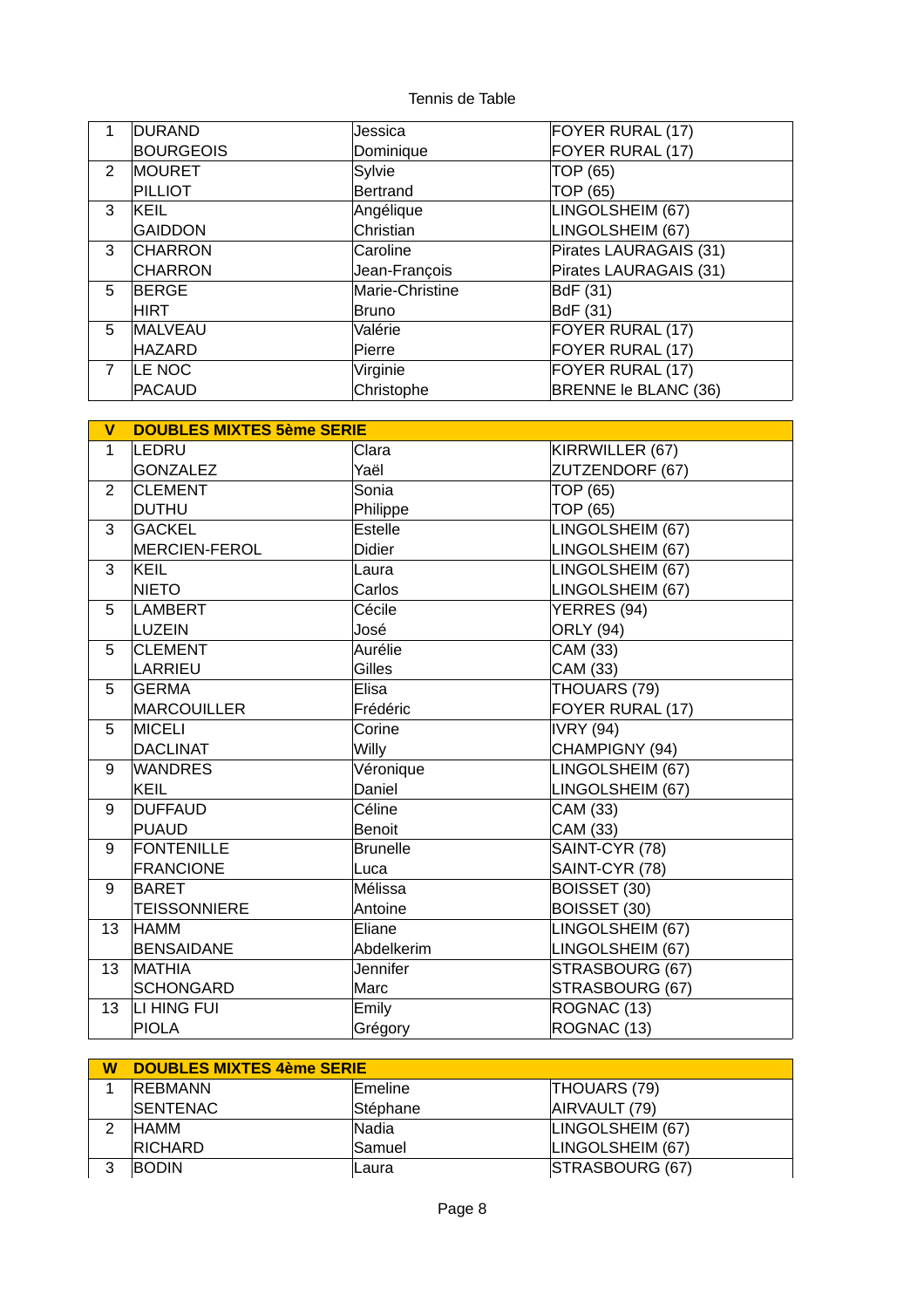| 1              | DURAND           | Jessica         | FOYER RURAL (17)       |
|----------------|------------------|-----------------|------------------------|
|                | <b>BOURGEOIS</b> | Dominique       | FOYER RURAL (17)       |
| 2              | <b>MOURET</b>    | Sylvie          | TOP (65)               |
|                | PILLIOT          | Bertrand        | <b>TOP (65)</b>        |
| 3              | <b>KEIL</b>      | Angélique       | LINGOLSHEIM (67)       |
|                | GAIDDON          | Christian       | LINGOLSHEIM (67)       |
| 3              | <b>CHARRON</b>   | Caroline        | Pirates LAURAGAIS (31) |
|                | CHARRON          | Jean-François   | Pirates LAURAGAIS (31) |
| 5              | <b>BERGE</b>     | Marie-Christine | BdF (31)               |
|                | HIRT             | Bruno           | BdF (31)               |
| 5              | <b>MALVEAU</b>   | Valérie         | FOYER RURAL (17)       |
|                | <b>HAZARD</b>    | Pierre          | FOYER RURAL (17)       |
| $\overline{7}$ | LE NOC           | Virginie        | FOYER RURAL (17)       |
|                | PACAUD           | Christophe      | BRENNE le BLANC (36)   |

| $\mathbf v$    | <b>DOUBLES MIXTES 5ème SERIE</b> |                 |                  |
|----------------|----------------------------------|-----------------|------------------|
| $\mathbf{1}$   | LEDRU                            | Clara           | KIRRWILLER (67)  |
|                | <b>GONZALEZ</b>                  | Yaël            | ZUTZENDORF (67)  |
| $\overline{2}$ | <b>CLEMENT</b>                   | Sonia           | TOP (65)         |
|                | <b>DUTHU</b>                     | Philippe        | TOP (65)         |
| 3              | <b>GACKEL</b>                    | Estelle         | LINGOLSHEIM (67) |
|                | <b>MERCIEN-FEROL</b>             | <b>Didier</b>   | LINGOLSHEIM (67) |
| 3              | KEIL                             | Laura           | LINGOLSHEIM (67) |
|                | <b>NIETO</b>                     | Carlos          | LINGOLSHEIM (67) |
| 5              | <b>LAMBERT</b>                   | Cécile          | YERRES (94)      |
|                | LUZEIN                           | José            | <b>ORLY (94)</b> |
| 5              | <b>CLEMENT</b>                   | Aurélie         | CAM (33)         |
|                | <b>LARRIEU</b>                   | Gilles          | CAM (33)         |
| 5              | <b>GERMA</b>                     | Elisa           | THOUARS (79)     |
|                | <b>MARCOUILLER</b>               | Frédéric        | FOYER RURAL (17) |
| 5              | <b>MICELI</b>                    | Corine          | <b>IVRY (94)</b> |
|                | <b>DACLINAT</b>                  | <b>Willy</b>    | CHAMPIGNY (94)   |
| 9              | <b>WANDRES</b>                   | Véronique       | LINGOLSHEIM (67) |
|                | KEIL                             | Daniel          | LINGOLSHEIM (67) |
| 9              | <b>DUFFAUD</b>                   | Céline          | CAM (33)         |
|                | PUAUD                            | <b>Benoit</b>   | CAM (33)         |
| 9              | <b>FONTENILLE</b>                | <b>Brunelle</b> | SAINT-CYR (78)   |
|                | <b>FRANCIONE</b>                 | Luca            | SAINT-CYR (78)   |
| 9              | <b>BARET</b>                     | Mélissa         | BOISSET (30)     |
|                | <b>TEISSONNIERE</b>              | Antoine         | BOISSET (30)     |
| 13             | <b>HAMM</b>                      | Eliane          | LINGOLSHEIM (67) |
|                | <b>BENSAIDANE</b>                | Abdelkerim      | LINGOLSHEIM (67) |
| 13             | MATHIA                           | <b>Jennifer</b> | STRASBOURG (67)  |
|                | <b>SCHONGARD</b>                 | Marc            | STRASBOURG (67)  |
| 13             | LI HING FUI                      | Emily           | ROGNAC (13)      |
|                | <b>PIOLA</b>                     | Grégory         | ROGNAC (13)      |

| W | <b>DOUBLES MIXTES 4ème SERIE</b> |                |                  |  |
|---|----------------------------------|----------------|------------------|--|
|   | <b>REBMANN</b>                   | <b>Emeline</b> | THOUARS (79)     |  |
|   | <b>ISENTENAC</b>                 | Stéphane       | AIRVAULT (79)    |  |
|   | <b>HAMM</b>                      | Nadia          | LINGOLSHEIM (67) |  |
|   | <b>RICHARD</b>                   | Samuel         | LINGOLSHEIM (67) |  |
|   | <b>BODIN</b>                     | lLaura         | STRASBOURG (67)  |  |